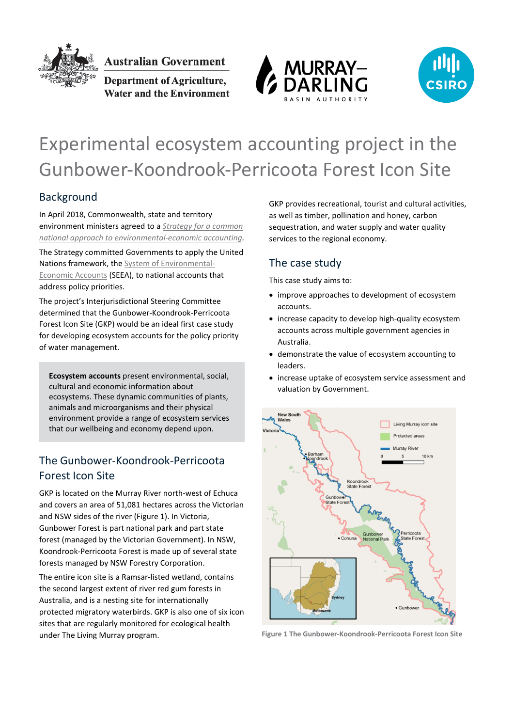

Australian Government

**Department of Agriculture,** Water and the Environment





# Experimental ecosystem accounting project in the Gunbower-Koondrook-Perricoota Forest Icon Site

## Background

In April 2018, Commonwealth, state and territory environment ministers agreed to a *[Strategy for a common](https://eea.environment.gov.au/about/national-strategy-and-action-plan#:%7E:text=The%20national%20approach%20to%20Environmental%2DEconomic%20Accounting%20will%20over%20time%3A&text=identify%20gaps%20in%20existing%20environmental,inform%20forward%2Dlooking%20decisions%3B%20and)  [national approach to environmental-economic accounting.](https://eea.environment.gov.au/about/national-strategy-and-action-plan#:%7E:text=The%20national%20approach%20to%20Environmental%2DEconomic%20Accounting%20will%20over%20time%3A&text=identify%20gaps%20in%20existing%20environmental,inform%20forward%2Dlooking%20decisions%3B%20and)*

The Strategy committed Governments to apply the United Nations framework, the [System of Environmental-](https://seea.un.org/content/homepage)[Economic Accounts](https://seea.un.org/content/homepage) (SEEA), to national accounts that address policy priorities.

The project's Interjurisdictional Steering Committee determined that the Gunbower-Koondrook-Perricoota Forest Icon Site (GKP) would be an ideal first case study for developing ecosystem accounts for the policy priority of water management.

**Ecosystem accounts** present environmental, social, cultural and economic information about ecosystems. These dynamic communities of plants, animals and microorganisms and their physical environment provide a range of ecosystem services that our wellbeing and economy depend upon.

## The Gunbower-Koondrook-Perricoota Forest Icon Site

GKP is located on the Murray River north-west of Echuca and covers an area of 51,081 hectares across the Victorian and NSW sides of the river [\(Figure 1\)](#page-0-0). In Victoria, Gunbower Forest is part national park and part state forest (managed by the Victorian Government). In NSW, Koondrook-Perricoota Forest is made up of several state forests managed by NSW Forestry Corporation.

The entire icon site is a Ramsar-listed wetland, contains the second largest extent of river red gum forests in Australia, and is a nesting site for internationally protected migratory waterbirds. GKP is also one of six icon sites that are regularly monitored for ecological health under The Living Murray program.

GKP provides recreational, tourist and cultural activities, as well as timber, pollination and honey, carbon sequestration, and water supply and water quality services to the regional economy.

## The case study

This case study aims to:

- improve approaches to development of ecosystem accounts.
- increase capacity to develop high-quality ecosystem accounts across multiple government agencies in Australia.
- demonstrate the value of ecosystem accounting to leaders.
- increase uptake of ecosystem service assessment and valuation by Government.



<span id="page-0-0"></span>**Figure 1 The Gunbower-Koondrook-Perricoota Forest Icon Site**